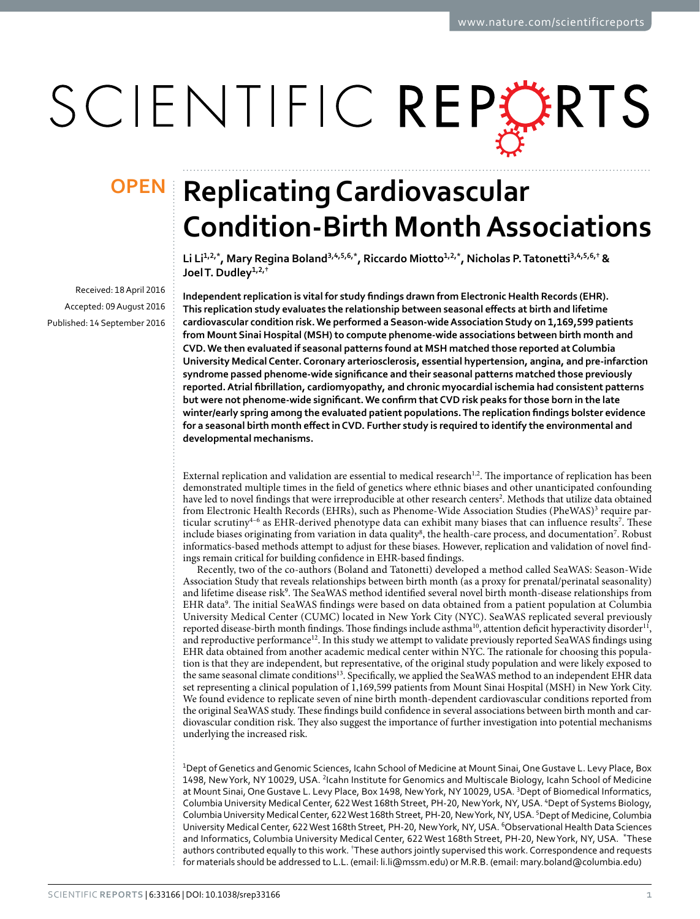# SCIENTIFIC REPERTS

Received: 18 April 2016 accepted: 09 August 2016 Published: 14 September 2016

## **OPEN** Replicating Cardiovascular **Condition-Birth Month Associations**

Li Li<sup>1,2,\*</sup>, Mary Regina Boland<sup>3,4,5,6,\*</sup>, Riccardo Miotto<sup>1,2,\*</sup>, Nicholas P. Tatonetti<sup>3,4,5,6,†</sup> & **Joel T. Dudley<sup>1</sup>,2,†**

**Independent replication is vital for study findings drawn from Electronic Health Records (EHR). This replication study evaluates the relationship between seasonal effects at birth and lifetime cardiovascular condition risk. We performed a Season-wide Association Study on 1,169,599 patients from Mount Sinai Hospital (MSH) to compute phenome-wide associations between birth month and CVD. We then evaluated if seasonal patterns found at MSH matched those reported at Columbia University Medical Center. Coronary arteriosclerosis, essential hypertension, angina, and pre-infarction syndrome passed phenome-wide significance and their seasonal patterns matched those previously reported. Atrial fibrillation, cardiomyopathy, and chronic myocardial ischemia had consistent patterns but were not phenome-wide significant. We confirm that CVD risk peaks for those born in the late winter/early spring among the evaluated patient populations. The replication findings bolster evidence for a seasonal birth month effect in CVD. Further study is required to identify the environmental and developmental mechanisms.**

External replication and validation are essential to medical research<sup>1,[2](#page-5-1)</sup>. The importance of replication has been demonstrated multiple times in the field of genetics where ethnic biases and other unanticipated confounding have led to novel findings that were irreproducible at other research centers<sup>[2](#page-5-1)</sup>. Methods that utilize data obtained from Electronic Health Records (EHRs), such as Phenome-Wide Association Studies (PheWAS)<sup>[3](#page-5-2)</sup> require particular scrutiny<sup>4-6</sup> as EHR-derived phenotype data can exhibit many biases that can influence results<sup>7</sup>. These include biases originating from variation in data quality $^8$  $^8$ , the health-care process, and documentation<sup>7</sup>. Robust informatics-based methods attempt to adjust for these biases. However, replication and validation of novel findings remain critical for building confidence in EHR-based findings.

Recently, two of the co-authors (Boland and Tatonetti) developed a method called SeaWAS: Season-Wide Association Study that reveals relationships between birth month (as a proxy for prenatal/perinatal seasonality) and lifetime disease risk<sup>9</sup>. The SeaWAS method identified several novel birth month-disease relationships from EHR data<sup>[9](#page-5-6)</sup>. The initial SeaWAS findings were based on data obtained from a patient population at Columbia University Medical Center (CUMC) located in New York City (NYC). SeaWAS replicated several previously reported disease-birth month findings. Those findings include asthma<sup>10</sup>, attention deficit hyperactivity disorder<sup>11</sup>, and reproductive performance<sup>[12](#page-5-9)</sup>. In this study we attempt to validate previously reported SeaWAS findings using EHR data obtained from another academic medical center within NYC. The rationale for choosing this population is that they are independent, but representative, of the original study population and were likely exposed to the same seasonal climate conditions<sup>13</sup>. Specifically, we applied the SeaWAS method to an independent EHR data set representing a clinical population of 1,169,599 patients from Mount Sinai Hospital (MSH) in New York City. We found evidence to replicate seven of nine birth month-dependent cardiovascular conditions reported from the original SeaWAS study. These findings build confidence in several associations between birth month and cardiovascular condition risk. They also suggest the importance of further investigation into potential mechanisms underlying the increased risk.

1 Dept of Genetics and Genomic Sciences, Icahn School of Medicine at Mount Sinai, One Gustave L. Levy Place, Box 1498, New York, NY 10029, USA. <sup>2</sup>Icahn Institute for Genomics and Multiscale Biology, Icahn School of Medicine at Mount Sinai, One Gustave L. Levy Place, Box 1498, New York, NY 10029, USA. <sup>3</sup>Dept of Biomedical Informatics, Columbia University Medical Center, 622 West 168th Street, PH-20, New York, NY, USA. <sup>4</sup>Dept of Systems Biology, Columbia University Medical Center, 622 West 168th Street, PH-20, New York, NY, USA. <sup>5</sup>Dept of Medicine, Columbia University Medical Center, 622 West 168th Street, PH-20, New York, NY, USA. <sup>6</sup>Observational Health Data Sciences and Informatics, Columbia University Medical Center, 622 West 168th Street, PH-20, New York, NY, USA. \*These authors contributed equally to this work. <sup>†</sup>These authors jointly supervised this work. Correspondence and requests for materials should be addressed to L.L. (email: [li.li@mssm.edu\)](mailto:li.li@mssm.edu) or M.R.B. (email: [mary.boland@columbia.edu](mailto:mary.boland@columbia.edu))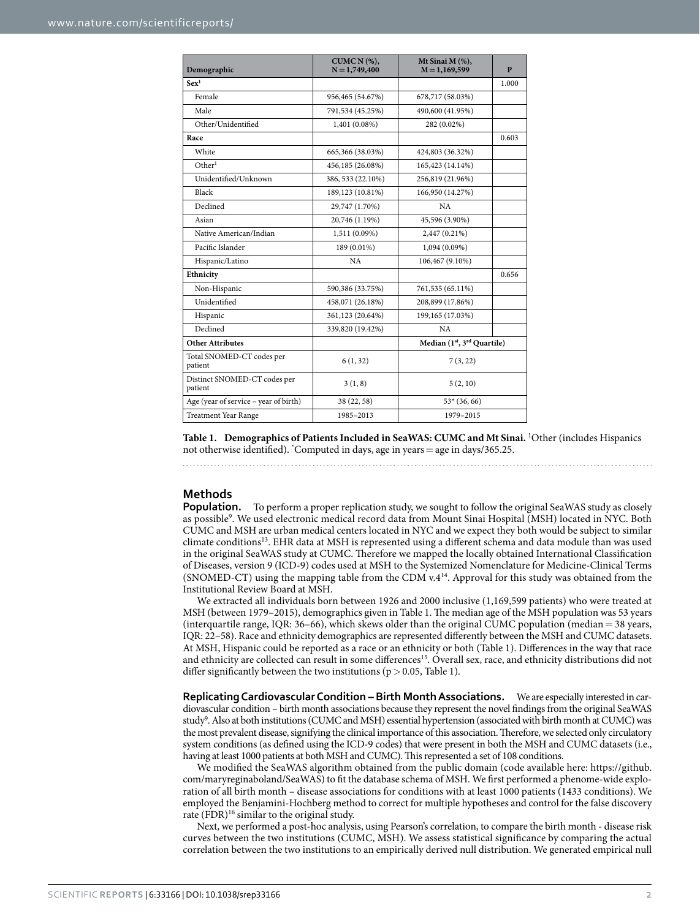<span id="page-1-0"></span>

| Demographic                             | CUMC $N$ $(\%)$ ,<br>$N = 1,749,400$ | Mt Sinai M (%),<br>$M = 1,169,599$                  | P     |  |
|-----------------------------------------|--------------------------------------|-----------------------------------------------------|-------|--|
| Sex <sup>1</sup>                        |                                      |                                                     | 1.000 |  |
| Female                                  | 956,465 (54.67%)                     | 678,717 (58.03%)                                    |       |  |
| Male                                    | 791,534 (45.25%)                     | 490,600 (41.95%)                                    |       |  |
| Other/Unidentified                      | 1,401 (0.08%)                        | 282 (0.02%)                                         |       |  |
| Race                                    |                                      |                                                     | 0.603 |  |
| White                                   | 665,366 (38.03%)                     | 424,803 (36.32%)                                    |       |  |
| Other <sup>1</sup>                      | 456,185 (26.08%)                     | 165,423 (14.14%)                                    |       |  |
| Unidentified/Unknown                    | 386, 533 (22.10%)                    | 256,819 (21.96%)                                    |       |  |
| Black                                   | 189,123 (10.81%)                     | 166,950 (14.27%)                                    |       |  |
| Declined                                | 29,747 (1.70%)                       | NA                                                  |       |  |
| Asian                                   | 20,746 (1.19%)                       | 45,596 (3.90%)                                      |       |  |
| Native American/Indian                  | 1,511 (0.09%)                        | 2,447 (0.21%)                                       |       |  |
| Pacific Islander                        | 189 (0.01%)                          | 1,094 (0.09%)                                       |       |  |
| Hispanic/Latino                         | NA                                   | 106,467 (9.10%)                                     |       |  |
| Ethnicity                               |                                      |                                                     | 0.656 |  |
| Non-Hispanic                            | 590,386 (33.75%)                     | 761,535 (65.11%)                                    |       |  |
| Unidentified                            | 458,071 (26.18%)                     | 208,899 (17.86%)                                    |       |  |
| Hispanic                                | 361,123 (20.64%)                     | 199,165 (17.03%)                                    |       |  |
| Declined                                | 339,820 (19.42%)                     | NA                                                  |       |  |
| <b>Other Attributes</b>                 |                                      | Median (1 <sup>st</sup> , 3 <sup>rd</sup> Quartile) |       |  |
| Total SNOMED-CT codes per<br>patient    | 6(1, 32)                             | 7(3, 22)                                            |       |  |
| Distinct SNOMED-CT codes per<br>patient | 3(1, 8)                              | 5(2, 10)                                            |       |  |
| Age (year of service – year of birth)   | 38 (22, 58)                          | $53*(36,66)$                                        |       |  |
| <b>Treatment Year Range</b>             | 1985-2013                            | 1979-2015                                           |       |  |

**Table 1. Demographics of Patients Included in SeaWAS: CUMC and Mt Sinai.** <sup>1</sup> Other (includes Hispanics not otherwise identified). \* Computed in days, age in years=age in days/365.25.

### **Methods**

**Population.** To perform a proper replication study, we sought to follow the original SeaWAS study as closely as possible<sup>[9](#page-5-6)</sup>. We used electronic medical record data from Mount Sinai Hospital (MSH) located in NYC. Both CUMC and MSH are urban medical centers located in NYC and we expect they both would be subject to similar climate condition[s13](#page-5-10). EHR data at MSH is represented using a different schema and data module than was used in the original SeaWAS study at CUMC. Therefore we mapped the locally obtained International Classification of Diseases, version 9 (ICD-9) codes used at MSH to the Systemized Nomenclature for Medicine-Clinical Terms (SNOMED-CT) using the mapping table from the CDM v.[414.](#page-5-11) Approval for this study was obtained from the Institutional Review Board at MSH.

We extracted all individuals born between 1926 and 2000 inclusive (1,169,599 patients) who were treated at MSH (between 1979–2015), demographics given in [Table 1](#page-1-0). The median age of the MSH population was 53 years (interquartile range, IQR: 36–66), which skews older than the original CUMC population (median = 38 years, IQR: 22–58). Race and ethnicity demographics are represented differently between the MSH and CUMC datasets. At MSH, Hispanic could be reported as a race or an ethnicity or both ([Table 1](#page-1-0)). Differences in the way that race and ethnicity are collected can result in some differences<sup>15</sup>. Overall sex, race, and ethnicity distributions did not differ significantly between the two institutions ( $p > 0.05$ , [Table 1\)](#page-1-0).

**Replicating Cardiovascular Condition – Birth Month Associations.** We are especially interested in cardiovascular condition – birth month associations because they represent the novel findings from the original SeaWAS study<sup>9</sup>. Also at both institutions (CUMC and MSH) essential hypertension (associated with birth month at CUMC) was the most prevalent disease, signifying the clinical importance of this association. Therefore, we selected only circulatory system conditions (as defined using the ICD-9 codes) that were present in both the MSH and CUMC datasets (i.e., having at least 1000 patients at both MSH and CUMC). This represented a set of 108 conditions.

We modified the SeaWAS algorithm obtained from the public domain (code available here: [https://github.](https://github.com/maryreginaboland/SeaWAS) [com/maryreginaboland/SeaWAS](https://github.com/maryreginaboland/SeaWAS)) to fit the database schema of MSH. We first performed a phenome-wide exploration of all birth month – disease associations for conditions with at least 1000 patients (1433 conditions). We employed the Benjamini-Hochberg method to correct for multiple hypotheses and control for the false discovery rate  $(FDR)^{16}$  similar to the original study.

Next, we performed a post-hoc analysis, using Pearson's correlation, to compare the birth month - disease risk curves between the two institutions (CUMC, MSH). We assess statistical significance by comparing the actual correlation between the two institutions to an empirically derived null distribution. We generated empirical null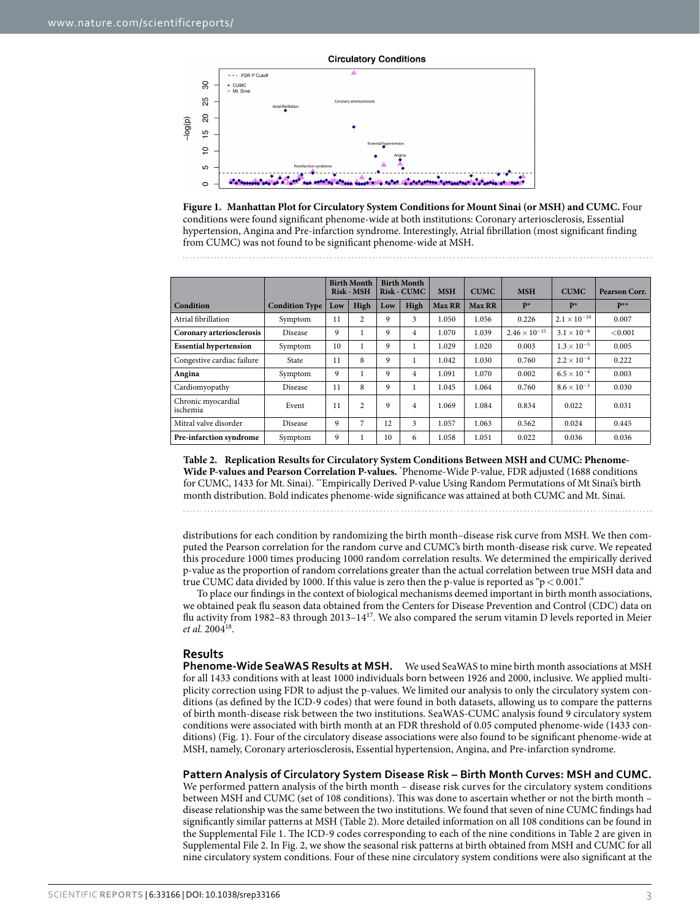

<span id="page-2-0"></span>

<span id="page-2-1"></span>

|                                |                       | <b>Birth Month</b><br>Risk - MSH |                | <b>Birth Month</b><br><b>Risk - CUMC</b> |      | <b>MSH</b>    | <b>CUMC</b>   | <b>MSH</b>             | <b>CUMC</b>           | Pearson Corr. |
|--------------------------------|-----------------------|----------------------------------|----------------|------------------------------------------|------|---------------|---------------|------------------------|-----------------------|---------------|
| Condition                      | <b>Condition Type</b> | Low                              | High           | Low                                      | High | <b>Max RR</b> | <b>Max RR</b> | $P*$                   | $P*$                  | $P^{**}$      |
| Atrial fibrillation            | Symptom               | 11                               | $\overline{c}$ | 9                                        | 3    | 1.050         | 1.056         | 0.226                  | $2.1 \times 10^{-10}$ | 0.007         |
| Coronary arteriosclerosis      | <b>Disease</b>        | 9                                |                | 9                                        | 4    | 1.070         | 1.039         | $2.46 \times 10^{-15}$ | $3.1 \times 10^{-8}$  | < 0.001       |
| <b>Essential hypertension</b>  | Symptom               | 10                               |                | 9                                        |      | 1.029         | 1.020         | 0.003                  | $1.3 \times 10^{-5}$  | 0.005         |
| Congestive cardiac failure     | State                 | 11                               | 8              | 9                                        |      | 1.042         | 1.030         | 0.760                  | $2.2 \times 10^{-4}$  | 0.222         |
| Angina                         | Symptom               | 9                                |                | 9                                        | 4    | 1.091         | 1.070         | 0.002                  | $6.5 \times 10^{-4}$  | 0.003         |
| Cardiomyopathy                 | Disease               | 11                               | 8              | 9                                        |      | 1.045         | 1.064         | 0.760                  | $8.6\times10^{-3}$    | 0.030         |
| Chronic myocardial<br>ischemia | Event                 | 11                               | $\overline{c}$ | 9                                        | 4    | 1.069         | 1.084         | 0.834                  | 0.022                 | 0.031         |
| Mitral valve disorder          | Disease               | 9                                | 7              | 12                                       | 3    | 1.057         | 1.063         | 0.562                  | 0.024                 | 0.445         |
| Pre-infarction syndrome        | Symptom               | 9                                |                | 10                                       | 6    | 1.058         | 1.051         | 0.022                  | 0.036                 | 0.036         |

**Table 2. Replication Results for Circulatory System Conditions Between MSH and CUMC: Phenome-Wide P-values and Pearson Correlation P-values.** \* Phenome-Wide P-value, FDR adjusted (1688 conditions for CUMC, 1433 for Mt. Sinai). \*\*Empirically Derived P-value Using Random Permutations of Mt Sinai's birth month distribution. Bold indicates phenome-wide significance was attained at both CUMC and Mt. Sinai.

distributions for each condition by randomizing the birth month–disease risk curve from MSH. We then computed the Pearson correlation for the random curve and CUMC's birth month-disease risk curve. We repeated this procedure 1000 times producing 1000 random correlation results. We determined the empirically derived p-value as the proportion of random correlations greater than the actual correlation between true MSH data and true CUMC data divided by 1000. If this value is zero then the p-value is reported as " $p < 0.001$ ."

To place our findings in the context of biological mechanisms deemed important in birth month associations, we obtained peak flu season data obtained from the Centers for Disease Prevention and Control (CDC) data on flu activity from 1982–83 through 2013–14[17.](#page-5-14) We also compared the serum vitamin D levels reported in Meier *et al.* 2004[18](#page-5-15).

### **Results**

**Phenome-Wide SeaWAS Results at MSH.** We used SeaWAS to mine birth month associations at MSH for all 1433 conditions with at least 1000 individuals born between 1926 and 2000, inclusive. We applied multiplicity correction using FDR to adjust the p-values. We limited our analysis to only the circulatory system conditions (as defined by the ICD-9 codes) that were found in both datasets, allowing us to compare the patterns of birth month-disease risk between the two institutions. SeaWAS-CUMC analysis found 9 circulatory system conditions were associated with birth month at an FDR threshold of 0.05 computed phenome-wide (1433 conditions) [\(Fig. 1](#page-2-0)). Four of the circulatory disease associations were also found to be significant phenome-wide at MSH, namely, Coronary arteriosclerosis, Essential hypertension, Angina, and Pre-infarction syndrome.

#### **Pattern Analysis of Circulatory System Disease Risk – Birth Month Curves: MSH and CUMC.**

We performed pattern analysis of the birth month – disease risk curves for the circulatory system conditions between MSH and CUMC (set of 108 conditions). This was done to ascertain whether or not the birth month – disease relationship was the same between the two institutions. We found that seven of nine CUMC findings had significantly similar patterns at MSH [\(Table 2\)](#page-2-1). More detailed information on all 108 conditions can be found in the Supplemental File 1. The ICD-9 codes corresponding to each of the nine conditions in [Table 2](#page-2-1) are given in Supplemental File 2. In [Fig. 2,](#page-3-0) we show the seasonal risk patterns at birth obtained from MSH and CUMC for all nine circulatory system conditions. Four of these nine circulatory system conditions were also significant at the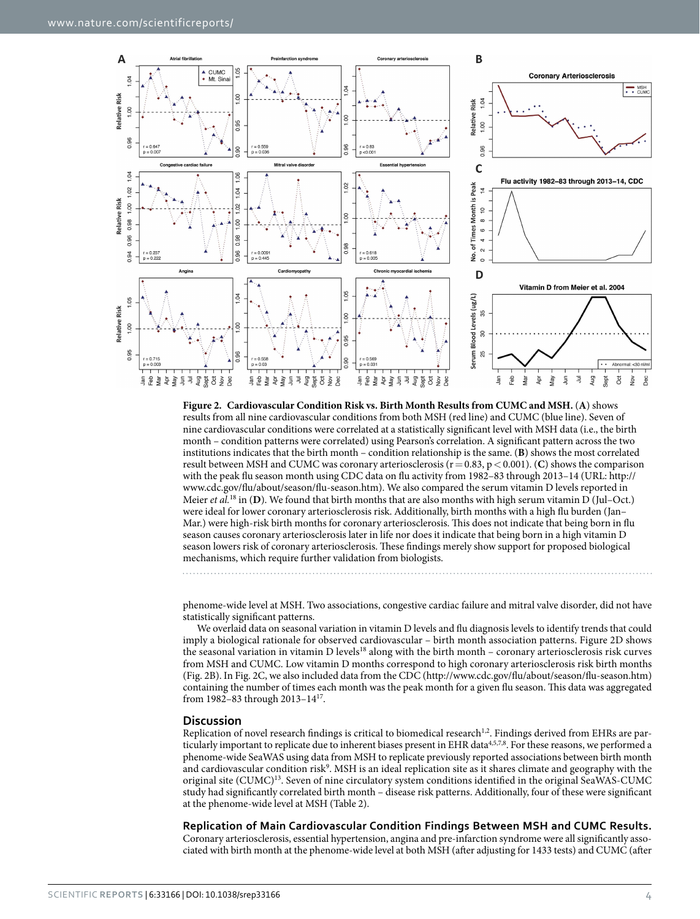

<span id="page-3-0"></span>**Figure 2. Cardiovascular Condition Risk vs. Birth Month Results from CUMC and MSH.** (**A**) shows results from all nine cardiovascular conditions from both MSH (red line) and CUMC (blue line). Seven of nine cardiovascular conditions were correlated at a statistically significant level with MSH data (i.e., the birth month – condition patterns were correlated) using Pearson's correlation. A significant pattern across the two institutions indicates that the birth month – condition relationship is the same. (**B**) shows the most correlated result between MSH and CUMC was coronary arteriosclerosis (r=0.83, p<0.001). (**C**) shows the comparison with the peak flu season month using CDC data on flu activity from 1982–83 through 2013–14 (URL: [http://](http://www.cdc.gov/flu/about/season/flu-season.htm) [www.cdc.gov/flu/about/season/flu-season.htm](http://www.cdc.gov/flu/about/season/flu-season.htm)). We also compared the serum vitamin D levels reported in Meier *et al.*<sup>[18](#page-5-15)</sup> in (**D**). We found that birth months that are also months with high serum vitamin D (Jul–Oct.) were ideal for lower coronary arteriosclerosis risk. Additionally, birth months with a high flu burden (Jan– Mar.) were high-risk birth months for coronary arteriosclerosis. This does not indicate that being born in flu season causes coronary arteriosclerosis later in life nor does it indicate that being born in a high vitamin D season lowers risk of coronary arteriosclerosis. These findings merely show support for proposed biological mechanisms, which require further validation from biologists.

phenome-wide level at MSH. Two associations, congestive cardiac failure and mitral valve disorder, did not have statistically significant patterns.

We overlaid data on seasonal variation in vitamin D levels and flu diagnosis levels to identify trends that could imply a biological rationale for observed cardiovascular – birth month association patterns. [Figure 2D](#page-3-0) shows the seasonal variation in vitamin D levels<sup>18</sup> along with the birth month – coronary arteriosclerosis risk curves from MSH and CUMC. Low vitamin D months correspond to high coronary arteriosclerosis risk birth months ([Fig. 2B](#page-3-0)). In [Fig. 2C](#page-3-0), we also included data from the CDC ([http://www.cdc.gov/flu/about/season/flu-season.htm\)](http://www.cdc.gov/flu/about/season/flu-season.htm) containing the number of times each month was the peak month for a given flu season. This data was aggregated from 1982–83 through 2013–1[417.](#page-5-14)

### **Discussion**

Replication of novel research findings is critical to biomedical research<sup>[1](#page-5-0),2</sup>. Findings derived from EHRs are par-ticularly important to replicate due to inherent biases present in EHR data<sup>[4](#page-5-3),[5,](#page-5-16)[7,](#page-5-4)8</sup>. For these reasons, we performed a phenome-wide SeaWAS using data from MSH to replicate previously reported associations between birth month and cardiovascular condition risk<sup>9</sup>. MSH is an ideal replication site as it shares climate and geography with the original site (CUMC)<sup>[13](#page-5-10)</sup>. Seven of nine circulatory system conditions identified in the original SeaWAS-CUMC study had significantly correlated birth month – disease risk patterns. Additionally, four of these were significant at the phenome-wide level at MSH ([Table 2](#page-2-1)).

**Replication of Main Cardiovascular Condition Findings Between MSH and CUMC Results.**

Coronary arteriosclerosis, essential hypertension, angina and pre-infarction syndrome were all significantly associated with birth month at the phenome-wide level at both MSH (after adjusting for 1433 tests) and CUMC (after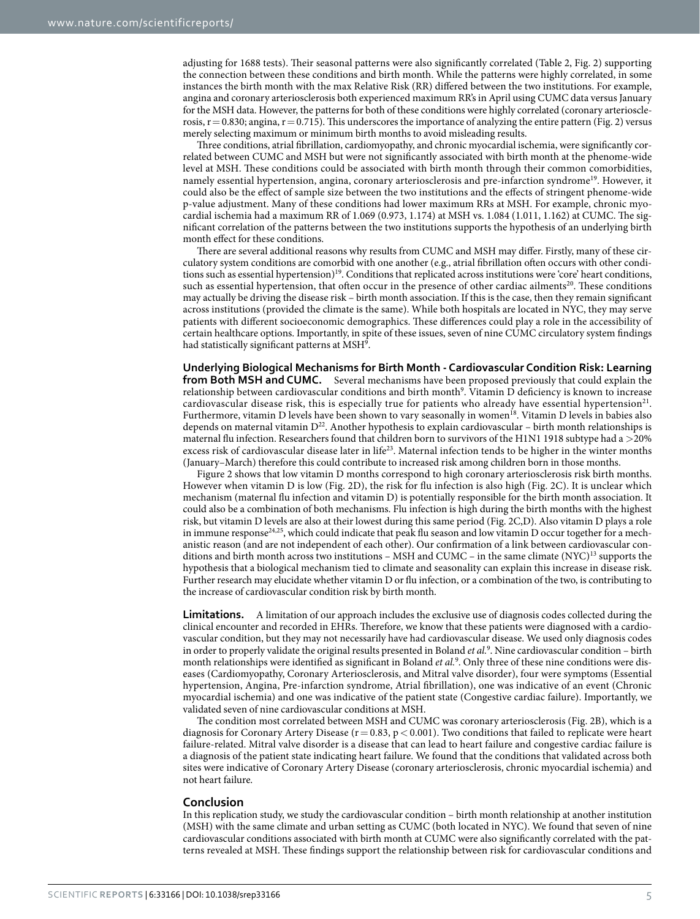adjusting for 1688 tests). Their seasonal patterns were also significantly correlated ([Table 2,](#page-2-1) [Fig. 2](#page-3-0)) supporting the connection between these conditions and birth month. While the patterns were highly correlated, in some instances the birth month with the max Relative Risk (RR) differed between the two institutions. For example, angina and coronary arteriosclerosis both experienced maximum RR's in April using CUMC data versus January for the MSH data. However, the patterns for both of these conditions were highly correlated (coronary arteriosclerosis,  $r = 0.830$ ; angina,  $r = 0.715$ ). This underscores the importance of analyzing the entire pattern [\(Fig. 2](#page-3-0)) versus merely selecting maximum or minimum birth months to avoid misleading results.

Three conditions, atrial fibrillation, cardiomyopathy, and chronic myocardial ischemia, were significantly correlated between CUMC and MSH but were not significantly associated with birth month at the phenome-wide level at MSH. These conditions could be associated with birth month through their common comorbidities, namely essential hypertension, angina, coronary arteriosclerosis and pre-infarction syndrome<sup>19</sup>. However, it could also be the effect of sample size between the two institutions and the effects of stringent phenome-wide p-value adjustment. Many of these conditions had lower maximum RRs at MSH. For example, chronic myocardial ischemia had a maximum RR of 1.069 (0.973, 1.174) at MSH vs. 1.084 (1.011, 1.162) at CUMC. The significant correlation of the patterns between the two institutions supports the hypothesis of an underlying birth month effect for these conditions.

There are several additional reasons why results from CUMC and MSH may differ. Firstly, many of these circulatory system conditions are comorbid with one another (e.g., atrial fibrillation often occurs with other conditions such as essential hypertension)<sup>19</sup>. Conditions that replicated across institutions were 'core' heart conditions, such as essential hypertension, that often occur in the presence of other cardiac ailments<sup>20</sup>. These conditions may actually be driving the disease risk – birth month association. If this is the case, then they remain significant across institutions (provided the climate is the same). While both hospitals are located in NYC, they may serve patients with different socioeconomic demographics. These differences could play a role in the accessibility of certain healthcare options. Importantly, in spite of these issues, seven of nine CUMC circulatory system findings had statistically significant patterns at MSH<sup>9</sup>.

**Underlying Biological Mechanisms for Birth Month - Cardiovascular Condition Risk: Learning from Both MSH and CUMC.** Several mechanisms have been proposed previously that could explain the relationship between cardiovascular conditions and birth month[9](#page-5-6) . Vitamin D deficiency is known to increase cardiovascular disease risk, this is especially true for patients who already have essential hypertension<sup>21</sup>. Furthermore, vitamin D levels have been shown to vary seasonally in women<sup>18</sup>. Vitamin D levels in babies also depends on maternal vitamin D<sup>22</sup>. Another hypothesis to explain cardiovascular – birth month relationships is maternal flu infection. Researchers found that children born to survivors of the H1N1 1918 subtype had a >20% excess risk of cardiovascular disease later in life[23.](#page-5-21) Maternal infection tends to be higher in the winter months (January–March) therefore this could contribute to increased risk among children born in those months.

[Figure 2](#page-3-0) shows that low vitamin D months correspond to high coronary arteriosclerosis risk birth months. However when vitamin D is low ([Fig. 2D](#page-3-0)), the risk for flu infection is also high [\(Fig. 2C\)](#page-3-0). It is unclear which mechanism (maternal flu infection and vitamin D) is potentially responsible for the birth month association. It could also be a combination of both mechanisms. Flu infection is high during the birth months with the highest risk, but vitamin D levels are also at their lowest during this same period [\(Fig. 2C,D\)](#page-3-0). Also vitamin D plays a role in immune response<sup>24[,25](#page-5-23)</sup>, which could indicate that peak flu season and low vitamin D occur together for a mechanistic reason (and are not independent of each other). Our confirmation of a link between cardiovascular conditions and birth month across two institutions – MSH and CUMC – in the same climate  $(NTC)^{13}$  supports the hypothesis that a biological mechanism tied to climate and seasonality can explain this increase in disease risk. Further research may elucidate whether vitamin D or flu infection, or a combination of the two, is contributing to the increase of cardiovascular condition risk by birth month.

**Limitations.** A limitation of our approach includes the exclusive use of diagnosis codes collected during the clinical encounter and recorded in EHRs. Therefore, we know that these patients were diagnosed with a cardiovascular condition, but they may not necessarily have had cardiovascular disease. We used only diagnosis codes in order to properly validate the original results presented in Boland *et al.*[9](#page-5-6) . Nine cardiovascular condition – birth month relationships were identified as significant in Boland *et al.*<sup>[9](#page-5-6)</sup>. Only three of these nine conditions were diseases (Cardiomyopathy, Coronary Arteriosclerosis, and Mitral valve disorder), four were symptoms (Essential hypertension, Angina, Pre-infarction syndrome, Atrial fibrillation), one was indicative of an event (Chronic myocardial ischemia) and one was indicative of the patient state (Congestive cardiac failure). Importantly, we validated seven of nine cardiovascular conditions at MSH.

The condition most correlated between MSH and CUMC was coronary arteriosclerosis [\(Fig. 2B\)](#page-3-0), which is a diagnosis for Coronary Artery Disease ( $r = 0.83$ ,  $p < 0.001$ ). Two conditions that failed to replicate were heart failure-related. Mitral valve disorder is a disease that can lead to heart failure and congestive cardiac failure is a diagnosis of the patient state indicating heart failure. We found that the conditions that validated across both sites were indicative of Coronary Artery Disease (coronary arteriosclerosis, chronic myocardial ischemia) and not heart failure.

#### **Conclusion**

In this replication study, we study the cardiovascular condition – birth month relationship at another institution (MSH) with the same climate and urban setting as CUMC (both located in NYC). We found that seven of nine cardiovascular conditions associated with birth month at CUMC were also significantly correlated with the patterns revealed at MSH. These findings support the relationship between risk for cardiovascular conditions and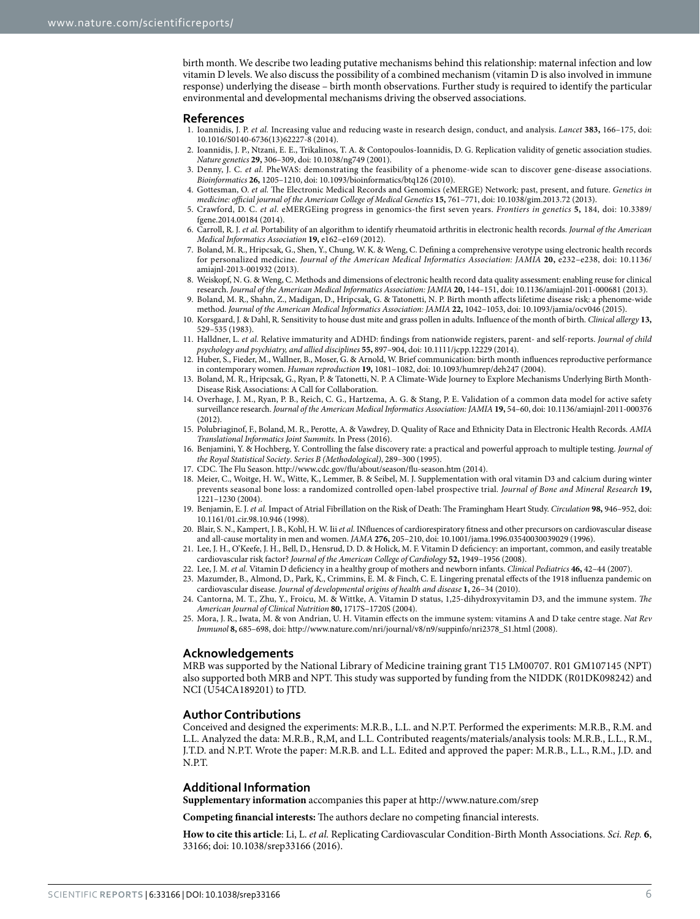birth month. We describe two leading putative mechanisms behind this relationship: maternal infection and low vitamin D levels. We also discuss the possibility of a combined mechanism (vitamin D is also involved in immune response) underlying the disease – birth month observations. Further study is required to identify the particular environmental and developmental mechanisms driving the observed associations.

#### **References**

- <span id="page-5-0"></span>1. Ioannidis, J. P. *et al.* Increasing value and reducing waste in research design, conduct, and analysis. *Lancet* **383,** 166–175, doi: 10.1016/S0140-6736(13)62227-8 (2014).
- <span id="page-5-1"></span>2. Ioannidis, J. P., Ntzani, E. E., Trikalinos, T. A. & Contopoulos-Ioannidis, D. G. Replication validity of genetic association studies. *Nature genetics* **29,** 306–309, doi: 10.1038/ng749 (2001).
- <span id="page-5-2"></span>3. Denny, J. C. *et al.* PheWAS: demonstrating the feasibility of a phenome-wide scan to discover gene-disease associations. *Bioinformatics* **26,** 1205–1210, doi: 10.1093/bioinformatics/btq126 (2010).
- <span id="page-5-3"></span>4. Gottesman, O. *et al.* The Electronic Medical Records and Genomics (eMERGE) Network: past, present, and future. *Genetics in medicine: official journal of the American College of Medical Genetics* **15,** 761–771, doi: 10.1038/gim.2013.72 (2013).
- <span id="page-5-16"></span>5. Crawford, D. C. *et al.* eMERGEing progress in genomics-the first seven years. *Frontiers in genetics* **5,** 184, doi: 10.3389/ fgene.2014.00184 (2014).
- 6. Carroll, R. J. *et al.* Portability of an algorithm to identify rheumatoid arthritis in electronic health records. *Journal of the American Medical Informatics Association* **19,** e162–e169 (2012).
- <span id="page-5-4"></span>7. Boland, M. R., Hripcsak, G., Shen, Y., Chung, W. K. & Weng, C. Defining a comprehensive verotype using electronic health records for personalized medicine. *Journal of the American Medical Informatics Association: JAMIA* **20,** e232–e238, doi: 10.1136/ amiajnl-2013-001932 (2013).
- <span id="page-5-5"></span>8. Weiskopf, N. G. & Weng, C. Methods and dimensions of electronic health record data quality assessment: enabling reuse for clinical research. *Journal of the American Medical Informatics Association: JAMIA* **20,** 144–151, doi: 10.1136/amiajnl-2011-000681 (2013).
- <span id="page-5-6"></span>9. Boland, M. R., Shahn, Z., Madigan, D., Hripcsak, G. & Tatonetti, N. P. Birth month affects lifetime disease risk: a phenome-wide method. *Journal of the American Medical Informatics Association: JAMIA* **22,** 1042–1053, doi: 10.1093/jamia/ocv046 (2015).
- <span id="page-5-7"></span>10. Korsgaard, J. & Dahl, R. Sensitivity to house dust mite and grass pollen in adults. Influence of the month of birth. *Clinical allergy* **13,** 529–535 (1983).
- <span id="page-5-8"></span>11. Halldner, L. *et al.* Relative immaturity and ADHD: findings from nationwide registers, parent- and self-reports. *Journal of child psychology and psychiatry, and allied disciplines* **55,** 897–904, doi: 10.1111/jcpp.12229 (2014).
- <span id="page-5-9"></span>12. Huber, S., Fieder, M., Wallner, B., Moser, G. & Arnold, W. Brief communication: birth month influences reproductive performance in contemporary women. *Human reproduction* **19,** 1081–1082, doi: 10.1093/humrep/deh247 (2004).
- <span id="page-5-10"></span>13. Boland, M. R., Hripcsak, G., Ryan, P. & Tatonetti, N. P. A Climate-Wide Journey to Explore Mechanisms Underlying Birth Month-Disease Risk Associations: A Call for Collaboration.
- <span id="page-5-11"></span>14. Overhage, J. M., Ryan, P. B., Reich, C. G., Hartzema, A. G. & Stang, P. E. Validation of a common data model for active safety surveillance research. *Journal of the American Medical Informatics Association: JAMIA* **19,** 54–60, doi: 10.1136/amiajnl-2011-000376 (2012).
- <span id="page-5-12"></span>15. Polubriaginof, F., Boland, M. R., Perotte, A. & Vawdrey, D. Quality of Race and Ethnicity Data in Electronic Health Records. *AMIA Translational Informatics Joint Summits.* In Press (2016).
- <span id="page-5-13"></span>16. Benjamini, Y. & Hochberg, Y. Controlling the false discovery rate: a practical and powerful approach to multiple testing. *Journal of the Royal Statistical Society*. *Series B (Methodological)*, 289–300 (1995).
- <span id="page-5-14"></span>17. CDC. The Flu Season. <http://www.cdc.gov/flu/about/season/flu-season.htm> (2014).
- <span id="page-5-15"></span>18. Meier, C., Woitge, H. W., Witte, K., Lemmer, B. & Seibel, M. J. Supplementation with oral vitamin D3 and calcium during winter prevents seasonal bone loss: a randomized controlled open‐label prospective trial. *Journal of Bone and Mineral Research* **19,** 1221–1230 (2004).
- <span id="page-5-17"></span>19. Benjamin, E. J. *et al.* Impact of Atrial Fibrillation on the Risk of Death: The Framingham Heart Study. *Circulation* **98,** 946–952, doi: 10.1161/01.cir.98.10.946 (1998).
- <span id="page-5-18"></span>20. Blair, S. N., Kampert, J. B., Kohl, H. W. Iii *et al.* INfluences of cardiorespiratory fitness and other precursors on cardiovascular disease and all-cause mortality in men and women. *JAMA* **276,** 205–210, doi: 10.1001/jama.1996.03540030039029 (1996).
- <span id="page-5-19"></span>21. Lee, J. H., O'Keefe, J. H., Bell, D., Hensrud, D. D. & Holick, M. F. Vitamin D deficiency: an important, common, and easily treatable cardiovascular risk factor? *Journal of the American College of Cardiology* **52,** 1949–1956 (2008).
- <span id="page-5-20"></span>22. Lee, J. M. *et al.* Vitamin D deficiency in a healthy group of mothers and newborn infants. *Clinical Pediatrics* **46,** 42–44 (2007).
- <span id="page-5-21"></span>23. Mazumder, B., Almond, D., Park, K., Crimmins, E. M. & Finch, C. E. Lingering prenatal effects of the 1918 influenza pandemic on cardiovascular disease. *Journal of developmental origins of health and disease* **1,** 26–34 (2010).
- <span id="page-5-22"></span>24. Cantorna, M. T., Zhu, Y., Froicu, M. & Wittke, A. Vitamin D status, 1,25-dihydroxyvitamin D3, and the immune system. *The American Journal of Clinical Nutrition* **80,** 1717S–1720S (2004).
- <span id="page-5-23"></span>25. Mora, J. R., Iwata, M. & von Andrian, U. H. Vitamin effects on the immune system: vitamins A and D take centre stage. *Nat Rev Immunol* **8,** 685–698, doi: [http://www.nature.com/nri/journal/v8/n9/suppinfo/nri2378\\_S1.html](http://www.nature.com/nri/journal/v8/n9/suppinfo/nri2378_S1.html) (2008).

### **Acknowledgements**

MRB was supported by the National Library of Medicine training grant T15 LM00707. R01 GM107145 (NPT) also supported both MRB and NPT. This study was supported by funding from the NIDDK (R01DK098242) and NCI (U54CA189201) to JTD.

#### **Author Contributions**

Conceived and designed the experiments: M.R.B., L.L. and N.P.T. Performed the experiments: M.R.B., R.M. and L.L. Analyzed the data: M.R.B., R,M, and L.L. Contributed reagents/materials/analysis tools: M.R.B., L.L., R.M., J.T.D. and N.P.T. Wrote the paper: M.R.B. and L.L. Edited and approved the paper: M.R.B., L.L., R.M., J.D. and N.P.T.

### **Additional Information**

**Supplementary information** accompanies this paper at <http://www.nature.com/srep>

**Competing financial interests:** The authors declare no competing financial interests.

**How to cite this article**: Li, L. *et al.* Replicating Cardiovascular Condition-Birth Month Associations. *Sci. Rep.* **6**, 33166; doi: 10.1038/srep33166 (2016).